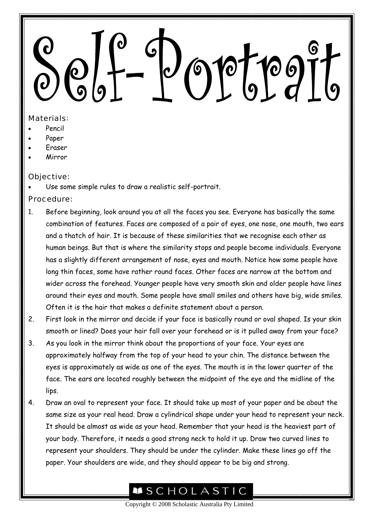## <u>Joptpojt</u>

## Materials:

- Pencil
- Paper
- Eraser
- Mirror

## Objective:

Use some simple rules to draw a realistic self-portrait.

## Procedure:

- 1. Before beginning, look around you at all the faces you see. Everyone has basically the same combination of features. Faces are composed of a pair of eyes, one nose, one mouth, two ears and a thatch of hair. It is because of these similarities that we recognise each other as human beings. But that is where the similarity stops and people become individuals. Everyone has a slightly different arrangement of nose, eyes and mouth. Notice how some people have long thin faces, some have rather round faces. Other faces are narrow at the bottom and wider across the forehead. Younger people have very smooth skin and older people have lines around their eyes and mouth. Some people have small smiles and others have big, wide smiles. Often it is the hair that makes a definite statement about a person.
- 2. First look in the mirror and decide if your face is basically round or oval shaped. Is your skin smooth or lined? Does your hair fall over your forehead or is it pulled away from your face?
- 3. As you look in the mirror think about the proportions of your face. Your eyes are approximately halfway from the top of your head to your chin. The distance between the eyes is approximately as wide as one of the eyes. The mouth is in the lower quarter of the face. The ears are located roughly between the midpoint of the eye and the midline of the lips.
- 4. Draw an oval to represent your face. It should take up most of your paper and be about the same size as your real head. Draw a cylindrical shape under your head to represent your neck. It should be almost as wide as your head. Remember that your head is the heaviest part of your body. Therefore, it needs a good strong neck to hold it up. Draw two curved lines to represent your shoulders. They should be under the cylinder. Make these lines go off the paper. Your shoulders are wide, and they should appear to be big and strong.